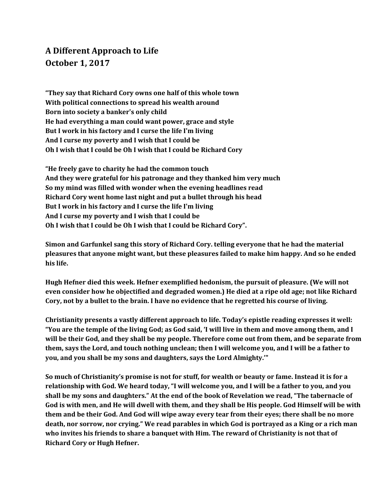## **A Different Approach to Life October 1, 2017**

**"They say that Richard Cory owns one half of this whole town With political connections to spread his wealth around Born into society a banker's only child He had everything a man could want power, grace and style But I work in his factory and I curse the life I'm living And I curse my poverty and I wish that I could be Oh I wish that I could be Oh I wish that I could be Richard Cory**

**"He freely gave to charity he had the common touch And they were grateful for his patronage and they thanked him very much So my mind was filled with wonder when the evening headlines read Richard Cory went home last night and put a bullet through his head But I work in his factory and I curse the life I'm living And I curse my poverty and I wish that I could be Oh I wish that I could be Oh I wish that I could be Richard Cory".**

**Simon and Garfunkel sang this story of Richard Cory. telling everyone that he had the material pleasures that anyone might want, but these pleasures failed to make him happy. And so he ended his life.**

**Hugh Hefner died this week. Hefner exemplified hedonism, the pursuit of pleasure. (We will not even consider how he objectified and degraded women.) He died at a ripe old age; not like Richard** Cory, not by a bullet to the brain. I have no evidence that he regretted his course of living.

**Christianity presents a vastly different approach to life. Today's epistle reading expresses it well:** "You are the temple of the living God; as God said, 'I will live in them and move among them, and I will be their God, and they shall be my people. Therefore come out from them, and be separate from them, says the Lord, and touch nothing unclean; then I will welcome you, and I will be a father to **you, and you shall be my sons and daughters, says the Lord Almighty.'"**

So much of Christianity's promise is not for stuff, for wealth or beauty or fame. Instead it is for a relationship with God. We heard today, "I will welcome you, and I will be a father to you, and you shall be my sons and daughters." At the end of the book of Revelation we read, "The tabernacle of God is with men, and He will dwell with them, and they shall be His people. God Himself will be with them and be their God. And God will wipe away every tear from their eyes; there shall be no more death, nor sorrow, nor crying." We read parables in which God is portrayed as a King or a rich man **who invites his friends to share a banquet with Him. The reward of Christianity is not that of Richard Cory or Hugh Hefner.**